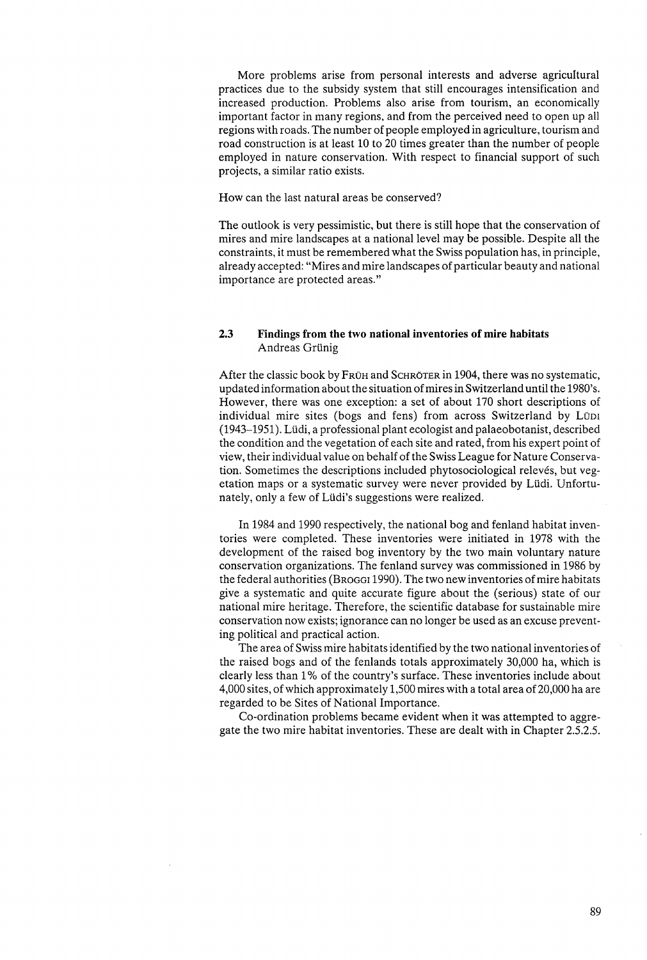More problems arise from personal interests and adverse agricultural practices due to the subsidy system that still encourages intensification and increased production. Problems also arise from tourism, an economically important factor in many regions, and from the perceived need to open up all regions with roads. The number of people employed in agriculture, tourism and road construction is at least 10 to 20 times greater than the number of people employed in nature conservation. With respect to financial support of such projects, a similar ratio exists.

How can the last natural areas be conserved?

The outlook is very pessimistic, but there is still hope that the conservation of mires and mire landscapes at a national level may be possible. Despite all the constraints, it must be remembered what the Swiss population has, in principle, already accepted: "Mires and mire landscapes of particular beauty and national importance are protected areas."

## 2.3 Findings from the two national inventories of mire habitats Andreas Grünig

After the classic book by FrUH and SCHROTER in 1904, there was no systematic, updated information about the situation of mires in Switzerland until the 1980's. However, there was one exception: a set of about 170 short descriptions of individual mire sites (bogs and fens) from across Switzerland by LÜDI (1943-1951). Ltidi, a professional plant ecologist and palaeobotanist, described the condition and the vegetation of each site and rated, from his expert point of view, their individual value on behalf of the Swiss League for Nature Conservation. Sometimes the descriptions included phytosociological relevés, but vegetation maps or a systematic survey were never provided by Lüdi. Unfortunately, only a few of Lüdi's suggestions were realized.

In 1984 and 1990 respectively, the national bog and fenland habitat inventories were completed. These inventories were initiated in 1978 with the development of the raised bog inventory by the two main voluntary nature conservation organizations. The fenland survey was commissioned in 1986 by the federal authorities (BROGGI 1990). The two new inventories of mire habitats give a systematic and quite accurate figure about the (serious) state of our national mire heritage. Therefore, the scientific database for sustainable mire conservation now exists; ignorance can no longer be used as an excuse preventing political and practical action.

The area of Swiss mire habitats identified by the two national inventories of the raised bogs and of the fenlands totals approximately 30,000 ha, which is clearly less than 1 % of the country's surface. These inventories include about 4,000 sites, of which approximately 1,500 mires with a total area of 20,000 ha are regarded to be Sites of National Importance.

Co-ordination problems became evident when it was attempted to aggregate the two mire habitat inventories. These are dealt with in Chapter 2.5.2.5.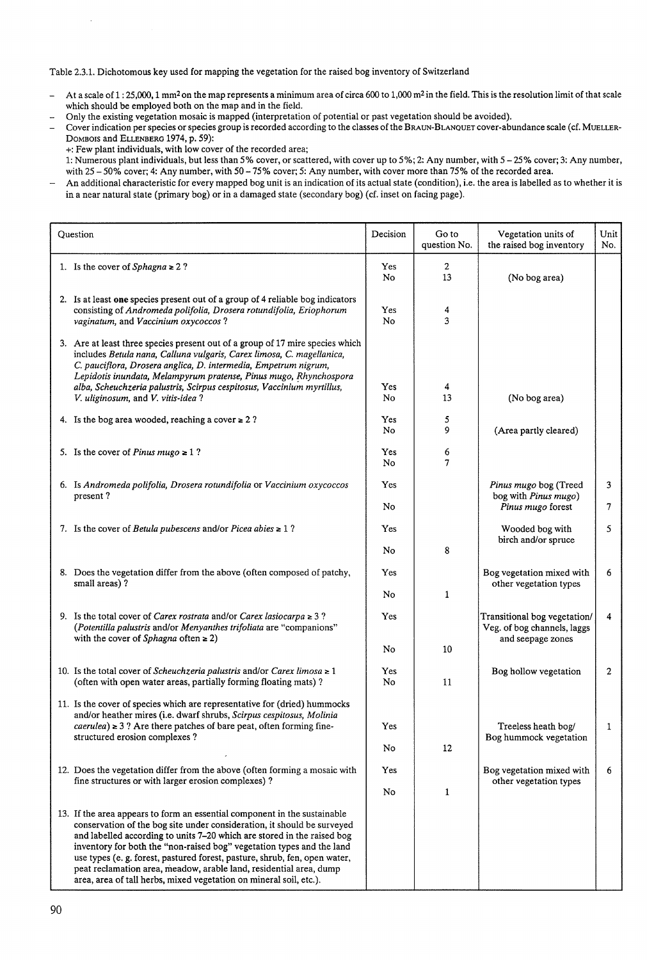Table 2.3.1. Dichotomous key used for mapping the vegetation for the raised bog inventory of Switzerland

- At a scale of 1:25,000, 1 mm<sup>2</sup> on the map represents a minimum area of circa 600 to 1,000 m<sup>2</sup> in the field. This is the resolution limit of that scale  $\overline{a}$ which should be employed both on the map and in the field.
- Only the existing vegetation mosaic is mapped (interpretation of potential or past vegetation should be avoided).  $\overline{a}$
- Cover indication per species or species group is recorded according to the classes of the BRAUN-BLANQUET cover-abundance scale (cf. MUELLER-DOMBOIS and ELLENBERG 1974, p. 59):
	- +: Few plant individuals, with low cover of the recorded area;
- 1: Numerous plant individuals, but less than 5% cover, or scattered, with cover up to 5%; 2: Any number, with 5 25% cover; 3: Any number, with 25 - 50% cover; 4: Any number, with 50 - 75% cover; 5: Any number, with cover more than 75% of the recorded area.
- An additional characteristic for every mapped bog unit is an indication of its actual state (condition), i.e. the area is labelled as to whether it is  $\overline{\phantom{a}}$ in a near natural state (primary bog) or in a damaged state (secondary bog) (cf. inset on facing page).

| Question |                                                                                                                                                                                                                                                                                                                                                                                                                                                                                                                                    | Decision        | Go to<br>question No. | Vegetation units of<br>the raised bog inventory                                  | Unit<br>No. |
|----------|------------------------------------------------------------------------------------------------------------------------------------------------------------------------------------------------------------------------------------------------------------------------------------------------------------------------------------------------------------------------------------------------------------------------------------------------------------------------------------------------------------------------------------|-----------------|-----------------------|----------------------------------------------------------------------------------|-------------|
|          | 1. Is the cover of Sphagna $\geq 2$ ?                                                                                                                                                                                                                                                                                                                                                                                                                                                                                              | Yes<br>No       | $\mathbf{2}$<br>13    | (No bog area)                                                                    |             |
|          | 2. Is at least one species present out of a group of 4 reliable bog indicators<br>consisting of Andromeda polifolia, Drosera rotundifolia, Eriophorum<br>vaginatum, and Vaccinium oxycoccos?                                                                                                                                                                                                                                                                                                                                       | Yes<br>No.      | 4<br>3                |                                                                                  |             |
|          | 3. Are at least three species present out of a group of 17 mire species which<br>includes Betula nana, Calluna vulgaris, Carex limosa, C. magellanica,<br>C. pauciflora, Drosera anglica, D. intermedia, Empetrum nigrum,<br>Lepidotis inundata, Melampyrum pratense, Pinus mugo, Rhynchospora<br>alba, Scheuchzeria palustris, Scirpus cespitosus, Vaccinium myrtillus,<br>V. uliginosum, and V. vitis-idea?                                                                                                                      | Yes<br>No       | 4<br>13               | (No bog area)                                                                    |             |
|          | 4. Is the bog area wooded, reaching a cover $\geq 2$ ?                                                                                                                                                                                                                                                                                                                                                                                                                                                                             | Yes.<br>No      | 5<br>9                | (Area partly cleared)                                                            |             |
|          | 5. Is the cover of <i>Pinus mugo</i> $\geq 1$ ?                                                                                                                                                                                                                                                                                                                                                                                                                                                                                    | Yes.<br>No      | 6<br>7                |                                                                                  |             |
|          | 6. Is Andromeda polifolia, Drosera rotundifolia or Vaccinium oxycoccos<br>present?                                                                                                                                                                                                                                                                                                                                                                                                                                                 | Yes<br>No       |                       | Pinus mugo bog (Treed<br>bog with Pinus mugo)<br>Pinus mugo forest               | 3<br>7      |
|          | 7. Is the cover of <i>Betula pubescens</i> and/or <i>Picea abies</i> $\geq 1$ ?                                                                                                                                                                                                                                                                                                                                                                                                                                                    | Yes             |                       | Wooded bog with<br>birch and/or spruce                                           | 5           |
|          | 8. Does the vegetation differ from the above (often composed of patchy,<br>small areas)?                                                                                                                                                                                                                                                                                                                                                                                                                                           | No<br>Yes<br>No | 8<br>1                | Bog vegetation mixed with<br>other vegetation types                              | 6           |
|          | 9. Is the total cover of <i>Carex rostrata</i> and/or <i>Carex lasiocarpa</i> $\geq$ 3?<br>(Potentilla palustris and/or Menyanthes trifoliata are "companions"<br>with the cover of Sphagna often $\geq 2$ )                                                                                                                                                                                                                                                                                                                       | Yes             |                       | Transitional bog vegetation/<br>Veg. of bog channels, laggs<br>and seepage zones | 4           |
|          |                                                                                                                                                                                                                                                                                                                                                                                                                                                                                                                                    | No              | 10                    |                                                                                  |             |
|          | 10. Is the total cover of Scheuchzeria palustris and/or Carex limosa $\ge 1$<br>(often with open water areas, partially forming floating mats)?                                                                                                                                                                                                                                                                                                                                                                                    | Yes<br>No       | 11                    | Bog hollow vegetation                                                            | 2           |
|          | 11. Is the cover of species which are representative for (dried) hummocks<br>and/or heather mires (i.e. dwarf shrubs, Scirpus cespitosus, Molinia<br>$caerulea$ $\ge$ 3 ? Are there patches of bare peat, often forming fine-<br>structured erosion complexes?                                                                                                                                                                                                                                                                     | Yes             |                       | Treeless heath bog/                                                              | 1           |
|          |                                                                                                                                                                                                                                                                                                                                                                                                                                                                                                                                    | No              | 12                    | Bog hummock vegetation                                                           |             |
|          | 12. Does the vegetation differ from the above (often forming a mosaic with<br>fine structures or with larger erosion complexes)?                                                                                                                                                                                                                                                                                                                                                                                                   | Yes<br>No       | $\mathbf{1}$          | Bog vegetation mixed with<br>other vegetation types                              | 6           |
|          | 13. If the area appears to form an essential component in the sustainable<br>conservation of the bog site under consideration, it should be surveyed<br>and labelled according to units 7-20 which are stored in the raised bog<br>inventory for both the "non-raised bog" vegetation types and the land<br>use types (e. g. forest, pastured forest, pasture, shrub, fen, open water,<br>peat reclamation area, meadow, arable land, residential area, dump<br>area, area of tall herbs, mixed vegetation on mineral soil, etc.). |                 |                       |                                                                                  |             |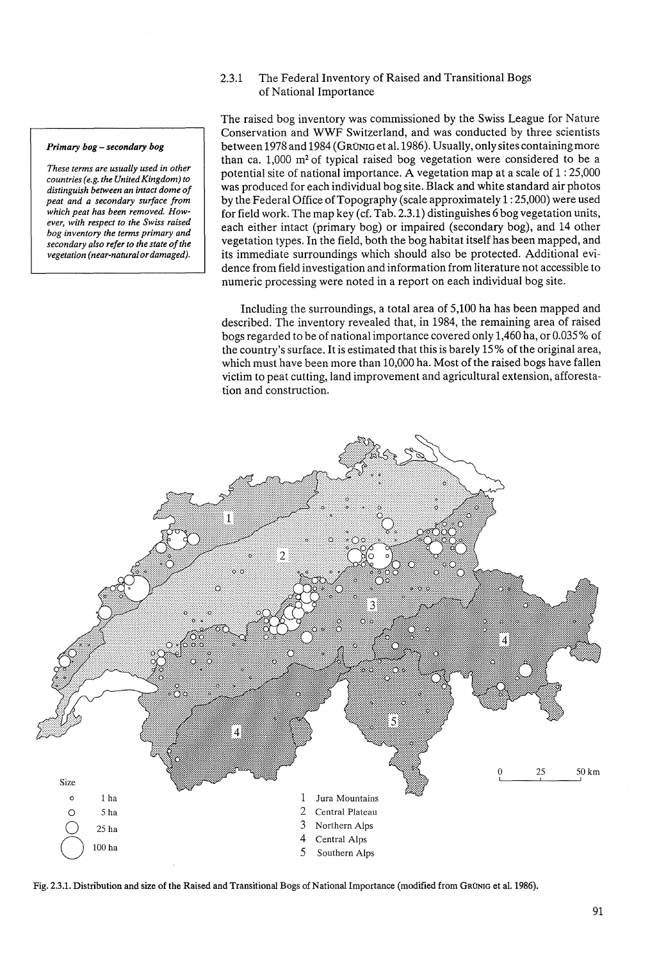## 2.3.1 The Federal Inventory of Raised and Transitional Bogs of National Importance

*Primary bog* **-** *secondary bog* 

*These terms are usually used in other countries (e.g. the United Kingdom) to distinguish between an intact dome of peat and a secondary surface from which peat has been removed. However, with respect to the Swiss raised bog inventory the terms primary and secondary also refer to the state of the vegetation (near-natural or damaged).* 

The raised bog inventory was commissioned by the Swiss League for Nature Conservation and WWF Switzerland, and was conducted by three scientists between 1978 and 1984 (GRÜNIG et al. 1986). Usually, only sites containing more than ca. 1,000 m2 of typical raised bog vegetation were considered to be a potential site of national importance. A vegetation map at a scale of 1 : 25,000 was produced for each individual bog site. Black and white standard air photos by the Federal Office of Topography (scale approximately 1 : 25,000) were used for field work. The map key (cf. Tab. 2.3.1) distinguishes 6 bog vegetation units, each either intact (primary bog) or impaired (secondary bog), and 14 other vegetation types. In the field, both the bog habitat itself has been mapped, and its immediate surroundings which should also be protected. Additional evidence from field investigation and information from literature not accessible to numeric processing were noted in a report on each individual bog site.

Including the surroundings, a total area of 5,100 ha has been mapped and described. The inventory revealed that, in 1984, the remaining area of raised bogs regarded to be of national importance covered only 1,460 ha, or 0.035 % of the country's surface. It is estimated that this is barely 15 % of the original area, which must have been more than 10,000 ha. Most of the raised bogs have fallen victim to peat cutting, land improvement and agricultural extension, afforestation and construction.



Fig. 2.3.1. Distribution and size of the Raised and Transitional Bogs of National Importance (modified from GRONIG et al. 1986).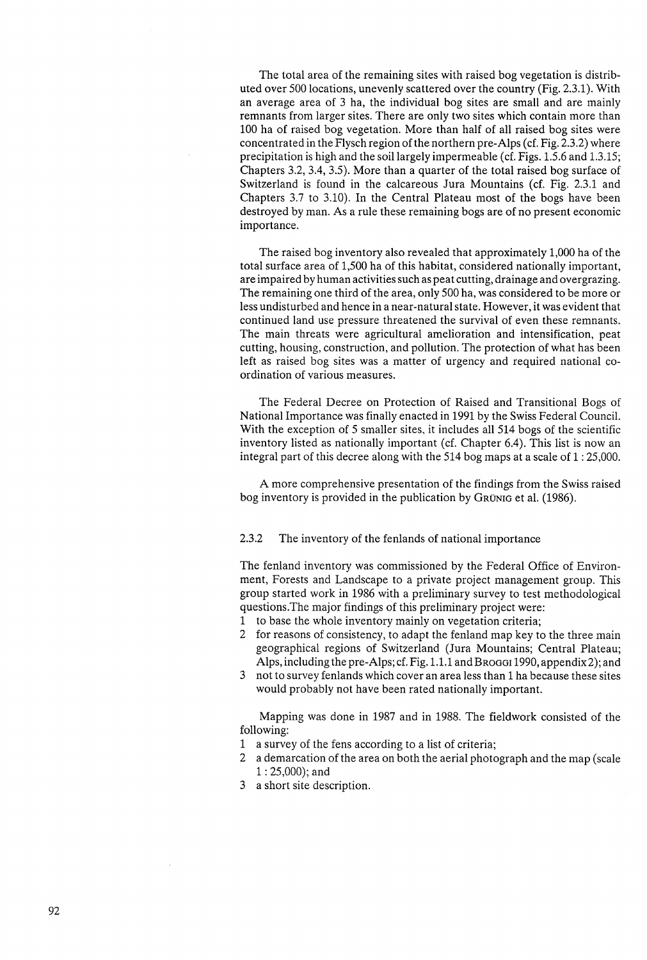The total area of the remaining sites with raised bog vegetation is distributed over 500 locations, unevenly scattered over the country (Fig. 2.3.1). With an average area of 3 ha, the individual bog sites are small and are mainly remnants from larger sites. There are only two sites which contain more than 100 ha of raised bog vegetation. More than half of all raised bog sites were concentrated in the Flysch region of the northern pre-Alps (cf. Fig. 2.3.2) where precipitation is high and the soil largely impermeable (cf. Figs. 1.5.6 and 1.3.15; Chapters 3.2, 3.4, 3.5). More than a quarter of the total raised bog surface of Switzerland is found in the calcareous Jura Mountains (cf. Fig. 2.3.1 and Chapters 3.7 to 3.10). In the Central Plateau most of the bogs have been destroyed by man. As a rule these remaining bogs are of no present economic importance.

The raised bog inventory also revealed that approximately 1,000 ha of the total surface area of 1,500 ha of this habitat, considered nationally important, are impaired by human activities such as peat cutting, drainage and overgrazing. The remaining one third of the area, only 500 ha, was considered to be more or less undisturbed and hence in a near-natural state. However, it was evident that continued land use pressure threatened the survival of even these remnants. The main threats were agricultural amelioration and intensification, peat cutting, housing, construction, and pollution. The protection of what has been left as raised bog sites was a matter of urgency and required national coordination of various measures.

The Federal Decree on Protection of Raised and Transitional Bogs of National Importance was finally enacted in 1991 by the Swiss Federal Council. With the exception of 5 smaller sites, it includes all 514 bogs of the scientific inventory listed as nationally important (cf. Chapter 6.4). This list is now an integral part of this decree along with the 514 bog maps at a scale of 1 : 25,000.

A more comprehensive presentation of the findings from the Swiss raised bog inventory is provided in the publication by GRÜNIG et al. (1986).

## 2.3.2 The inventory of the fenlands of national importance

The fenland inventory was commissioned by the Federal Office of Environment, Forests and Landscape to a private project management group. This group started work in 1986 with a preliminary survey to test methodological questions.The major findings of this preliminary project were:

- 1 to base the whole inventory mainly on vegetation criteria;
- 2 for reasons of consistency, to adapt the fenland map key to the three main geographical regions of Switzerland (Jura Mountains; Central Plateau; Alps, including the pre-Alps; cf. Fig. 1.1.1 and BROGGI 1990, appendix 2); and
- 3 not to survey fenlands which cover an area less than 1 ha because these sites would probably not have been rated nationally important.

Mapping was done in 1987 and in 1988. The fieldwork consisted of the following:

- 1 a survey of the fens according to a list of criteria;
- 2 a demarcation of the area on both the aerial photograph and the map (scale 1 : 25,000); and
- 3 a short site description.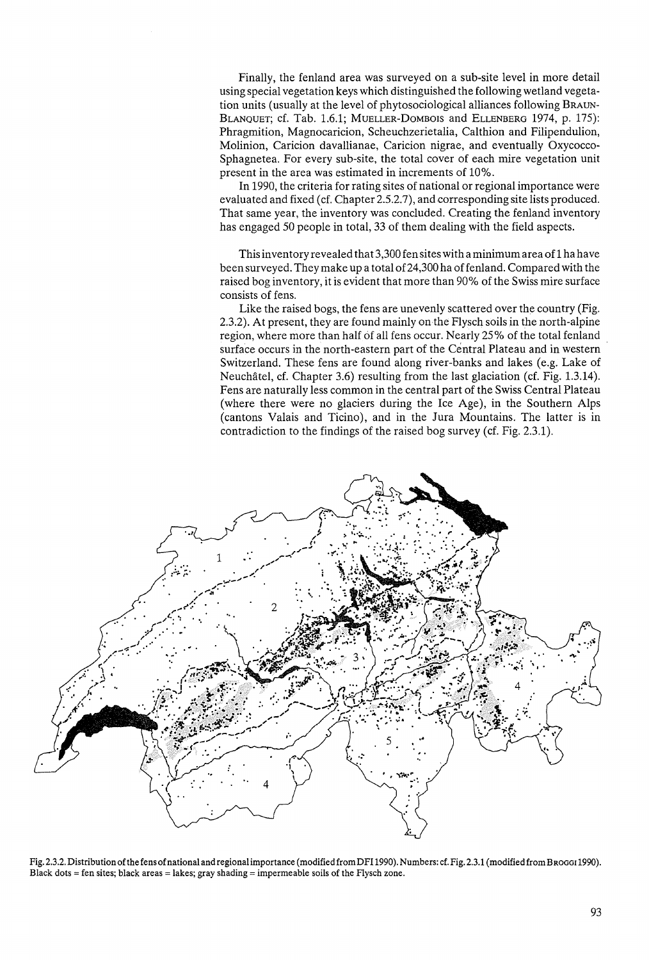Finally, the fenland area was surveyed on a sub-site level in more detail using special vegetation keys which distinguished the following wetland vegetation units (usually at the level of phytosociological alliances following BRAUN-BLANQUET; cf. Tab. 1.6.1; MUELLER-DoMBOIS and ELLENBERG 1974, p. 175): Phragmition, Magnocaricion, Scheuchzerietalia, Calthion and Filipendulion, Molinion, Caricion davallianae, Caricion nigrae, and eventually Oxycocco-Sphagnetea. For every sub-site, the total cover of each mire vegetation unit present in the area was estimated in increments of 10%.

In 1990, the criteria for rating sites of national or regional importance were evaluated and fixed (cf. Chapter 2.5.2.7), and corresponding site lists produced. That same year, the inventory was concluded. Creating the fenland inventory has engaged 50 people in total, 33 of them dealing with the field aspects.

This inventory revealed that 3,300 fen sites with a minimum area of1 ha have been surveyed. They make up a total of24,300 ha of fenland. Compared with the raised bog inventory, it is evident that more than 90% of the Swiss mire surface consists of fens.

Like the raised bogs, the fens are unevenly scattered over the country (Fig. 2.3.2). At present, they are found mainly on the Flysch soils in the north-alpine region, where more than half of all fens occur. Nearly 25% of the total fenland surface occurs in the north-eastern part of the Central Plateau and in western Switzerland. These fens are found along river-banks and lakes (e.g. Lake of Neuchatel, cf. Chapter 3.6) resulting from the last glaciation (cf. Fig. 1.3.14). Fens are naturally less common in the central part of the Swiss Central Plateau (where there were no glaciers during the Ice Age), in the Southern Alps (cantons Valais and Ticino), and in the Jura Mountains. The latter is in contradiction to the findings of the raised bog survey (cf. Fig. 2.3.1).



Fig. 2.3.2. Distribution of the fens of national and regional importance (modified fromDFI 1990). Numbers: cf. Fig. 2.3.1 (modified fromBRoGGI1990). Black dots = fen sites; black areas = lakes; gray shading = impermeable soils of the Flysch zone.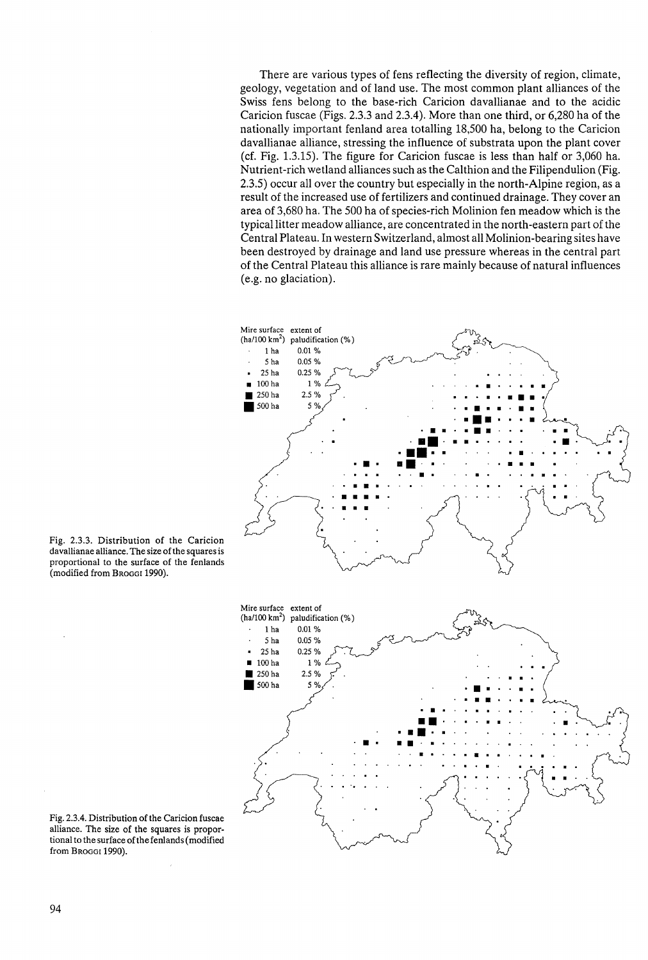There are various types of fens reflecting the diversity of region, climate, geology, vegetation and of land use. The most common plant alliances of the Swiss fens belong to the base-rich Caricion davallianae and to the acidic Caricion fuscae (Figs. 2.3.3 and 2.3.4). More than one third, or 6,280 ha of the nationally important fenland area totalling 18,500 ha, belong to the Caricion davallianae alliance, stressing the influence of substrata upon the plant cover (cf. Fig. 1.3.15). The figure for Caricion fuscae is less than half or 3,060 ha. Nutrient-rich wetland alliances such as the Calthion and the Filipendulion (Fig. 2.3.5) occur all over the country but especially in the north-Alpine region, as a result of the increased use of fertilizers and continued drainage. They cover an area of 3,680 ha. The 500 ha of species-rich Molinion fen meadow which is the typical litter meadow alliance, are concentrated in the north-eastern part of the Central Plateau. In western Switzerland, almost all Molinion-bearing sites have been destroyed by drainage and land use pressure whereas in the central part of the Central Plateau this alliance is rare mainly because of natural influences (e.g. no glaciation).



Fig. 2.3.3. Distribution of the Caricion davallianae alliance. The size of the squares is proportional to the surface of the fenlands (modified from Broggi 1990).

Fig. 2.3.4. Distribution of the Caricion fuscae alliance. The size of the squares is proportional to the surface ofthe fenlands (modified from Broggi 1990).